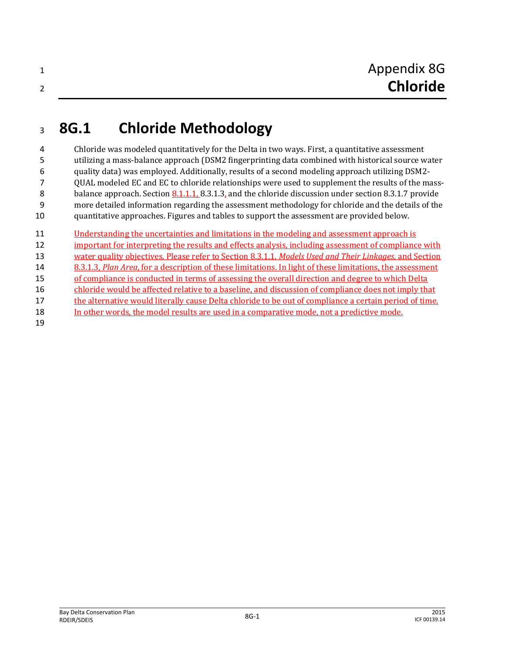## **8G.1 Chloride Methodology**

 Chloride was modeled quantitatively for the Delta in two ways. First, a quantitative assessment utilizing a mass-balance approach (DSM2 fingerprinting data combined with historical source water quality data) was employed. Additionally, results of a second modeling approach utilizing DSM2- QUAL modeled EC and EC to chloride relationships were used to supplement the results of the mass-8 balance approach. Section 8.1.1.1, 8.3.1.3, and the chloride discussion under section 8.3.1.7 provide more detailed information regarding the assessment methodology for chloride and the details of the quantitative approaches. Figures and tables to support the assessment are provided below.

 Understanding the uncertainties and limitations in the modeling and assessment approach is 12 important for interpreting the results and effects analysis, including assessment of compliance with water quality objectives. Please refer to Section 8.3.1.1, *Models Used and Their Linkages*, and Section 8.3.1.3, *Plan Area*, for a description of these limitations. In light of these limitations, the assessment of compliance is conducted in terms of assessing the overall direction and degree to which Delta chloride would be affected relative to a baseline, and discussion of compliance does not imply that the alternative would literally cause Delta chloride to be out of compliance a certain period of time. In other words, the model results are used in a comparative mode, not a predictive mode.